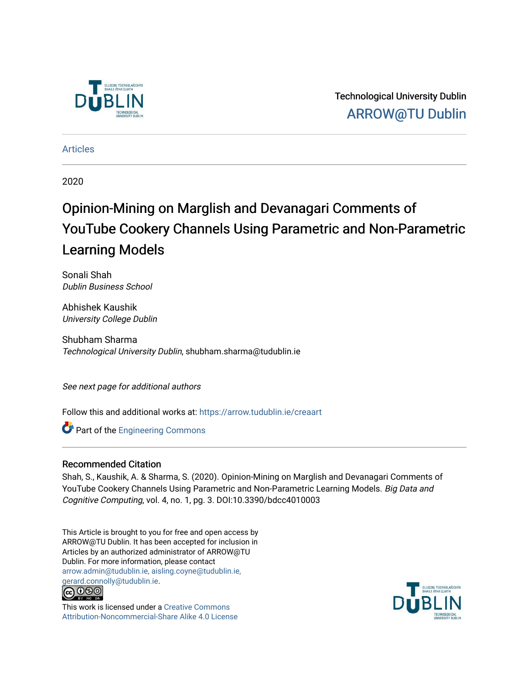

Technological University Dublin [ARROW@TU Dublin](https://arrow.tudublin.ie/) 

[Articles](https://arrow.tudublin.ie/creaart)

2020

# Opinion-Mining on Marglish and Devanagari Comments of YouTube Cookery Channels Using Parametric and Non-Parametric Learning Models

Sonali Shah Dublin Business School

Abhishek Kaushik University College Dublin

Shubham Sharma Technological University Dublin, shubham.sharma@tudublin.ie

See next page for additional authors

Follow this and additional works at: [https://arrow.tudublin.ie/creaart](https://arrow.tudublin.ie/creaart?utm_source=arrow.tudublin.ie%2Fcreaart%2F31&utm_medium=PDF&utm_campaign=PDFCoverPages) 

**Part of the [Engineering Commons](http://network.bepress.com/hgg/discipline/217?utm_source=arrow.tudublin.ie%2Fcreaart%2F31&utm_medium=PDF&utm_campaign=PDFCoverPages)** 

# Recommended Citation

Shah, S., Kaushik, A. & Sharma, S. (2020). Opinion-Mining on Marglish and Devanagari Comments of YouTube Cookery Channels Using Parametric and Non-Parametric Learning Models. Big Data and Cognitive Computing, vol. 4, no. 1, pg. 3. DOI:10.3390/bdcc4010003

This Article is brought to you for free and open access by ARROW@TU Dublin. It has been accepted for inclusion in Articles by an authorized administrator of ARROW@TU Dublin. For more information, please contact [arrow.admin@tudublin.ie, aisling.coyne@tudublin.ie,](mailto:arrow.admin@tudublin.ie,%20aisling.coyne@tudublin.ie,%20gerard.connolly@tudublin.ie)  [gerard.connolly@tudublin.ie](mailto:arrow.admin@tudublin.ie,%20aisling.coyne@tudublin.ie,%20gerard.connolly@tudublin.ie).



This work is licensed under a [Creative Commons](http://creativecommons.org/licenses/by-nc-sa/4.0/) [Attribution-Noncommercial-Share Alike 4.0 License](http://creativecommons.org/licenses/by-nc-sa/4.0/)

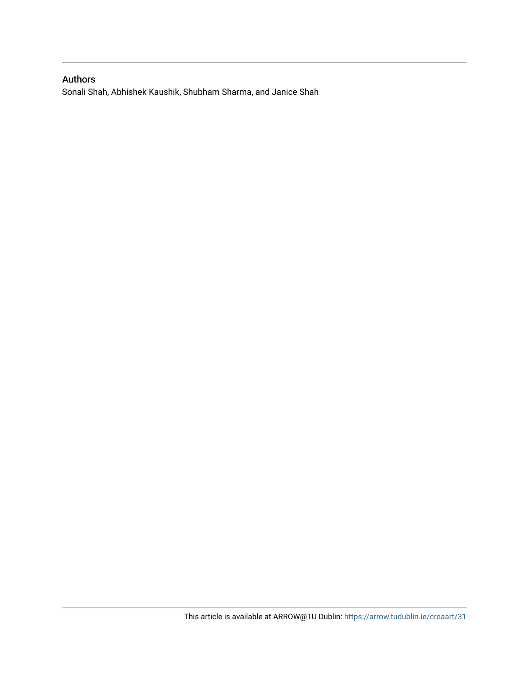# Authors

Sonali Shah, Abhishek Kaushik, Shubham Sharma, and Janice Shah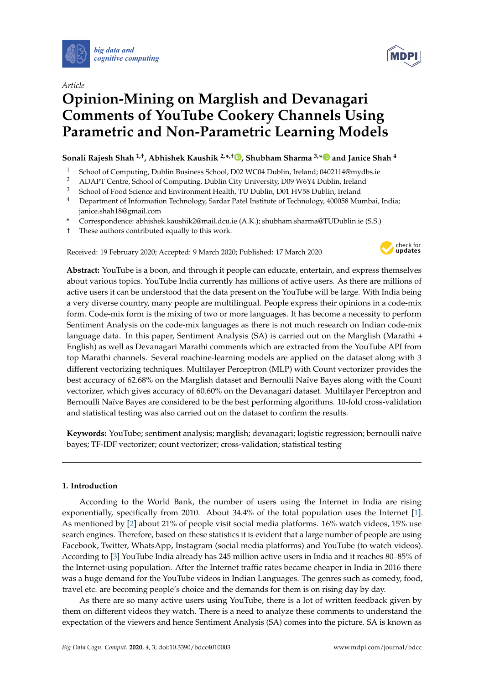

# *Article*

# **Opinion-Mining on Marglish and Devanagari Comments of YouTube Cookery Channels Using Parametric and Non-Parametric Learning Models**

# **Sonali Rajesh Shah 1,†, Abhishek Kaushik 2,\* ,† [,](https://orcid.org/0000-0002-3329-1807) Shubham Sharma 3,[\\*](https://orcid.org/0000-0003-4098-6313) and Janice Shah <sup>4</sup>**

- <sup>1</sup> School of Computing, Dublin Business School, D02 WC04 Dublin, Ireland; 0402114@mydbs.ie
- <sup>2</sup> ADAPT Centre, School of Computing, Dublin City University, D09 W6Y4 Dublin, Ireland<br><sup>3</sup> School of Eood Science and Environment Health, TU Dublin, D01 HV58 Dublin, Ireland
- <sup>3</sup> School of Food Science and Environment Health, TU Dublin, D01 HV58 Dublin, Ireland
- <sup>4</sup> Department of Information Technology, Sardar Patel Institute of Technology, 400058 Mumbai, India; janice.shah18@gmail.com
- **\*** Correspondence: abhishek.kaushik2@mail.dcu.ie (A.K.); shubham.sharma@TUDublin.ie (S.S.)
- † These authors contributed equally to this work.

Received: 19 February 2020; Accepted: 9 March 2020; Published: 17 March 2020



**Abstract:** YouTube is a boon, and through it people can educate, entertain, and express themselves about various topics. YouTube India currently has millions of active users. As there are millions of active users it can be understood that the data present on the YouTube will be large. With India being a very diverse country, many people are multilingual. People express their opinions in a code-mix form. Code-mix form is the mixing of two or more languages. It has become a necessity to perform Sentiment Analysis on the code-mix languages as there is not much research on Indian code-mix language data. In this paper, Sentiment Analysis (SA) is carried out on the Marglish (Marathi + English) as well as Devanagari Marathi comments which are extracted from the YouTube API from top Marathi channels. Several machine-learning models are applied on the dataset along with 3 different vectorizing techniques. Multilayer Perceptron (MLP) with Count vectorizer provides the best accuracy of 62.68% on the Marglish dataset and Bernoulli Naïve Bayes along with the Count vectorizer, which gives accuracy of 60.60% on the Devanagari dataset. Multilayer Perceptron and Bernoulli Naïve Bayes are considered to be the best performing algorithms. 10-fold cross-validation and statistical testing was also carried out on the dataset to confirm the results.

**Keywords:** YouTube; sentiment analysis; marglish; devanagari; logistic regression; bernoulli naïve bayes; TF-IDF vectorizer; count vectorizer; cross-validation; statistical testing

## **1. Introduction**

According to the World Bank, the number of users using the Internet in India are rising exponentially, specifically from 2010. About 34.4% of the total population uses the Internet [\[1\]](#page-19-0). As mentioned by [\[2\]](#page-19-1) about 21% of people visit social media platforms. 16% watch videos, 15% use search engines. Therefore, based on these statistics it is evident that a large number of people are using Facebook, Twitter, WhatsApp, Instagram (social media platforms) and YouTube (to watch videos). According to [\[3\]](#page-19-2) YouTube India already has 245 million active users in India and it reaches 80–85% of the Internet-using population. After the Internet traffic rates became cheaper in India in 2016 there was a huge demand for the YouTube videos in Indian Languages. The genres such as comedy, food, travel etc. are becoming people's choice and the demands for them is on rising day by day.

As there are so many active users using YouTube, there is a lot of written feedback given by them on different videos they watch. There is a need to analyze these comments to understand the expectation of the viewers and hence Sentiment Analysis (SA) comes into the picture. SA is known as

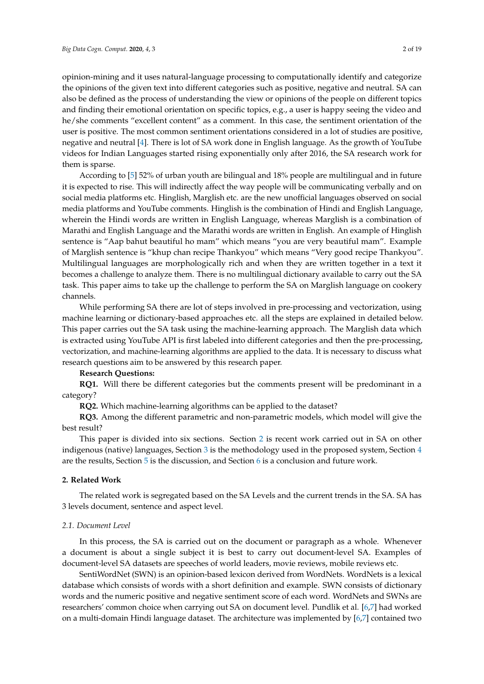opinion-mining and it uses natural-language processing to computationally identify and categorize the opinions of the given text into different categories such as positive, negative and neutral. SA can also be defined as the process of understanding the view or opinions of the people on different topics and finding their emotional orientation on specific topics, e.g., a user is happy seeing the video and he/she comments "excellent content" as a comment. In this case, the sentiment orientation of the user is positive. The most common sentiment orientations considered in a lot of studies are positive, negative and neutral [\[4\]](#page-19-3). There is lot of SA work done in English language. As the growth of YouTube videos for Indian Languages started rising exponentially only after 2016, the SA research work for them is sparse.

According to [\[5\]](#page-19-4) 52% of urban youth are bilingual and 18% people are multilingual and in future it is expected to rise. This will indirectly affect the way people will be communicating verbally and on social media platforms etc. Hinglish, Marglish etc. are the new unofficial languages observed on social media platforms and YouTube comments. Hinglish is the combination of Hindi and English Language, wherein the Hindi words are written in English Language, whereas Marglish is a combination of Marathi and English Language and the Marathi words are written in English. An example of Hinglish sentence is "Aap bahut beautiful ho mam" which means "you are very beautiful mam". Example of Marglish sentence is "khup chan recipe Thankyou" which means "Very good recipe Thankyou". Multilingual languages are morphologically rich and when they are written together in a text it becomes a challenge to analyze them. There is no multilingual dictionary available to carry out the SA task. This paper aims to take up the challenge to perform the SA on Marglish language on cookery channels.

While performing SA there are lot of steps involved in pre-processing and vectorization, using machine learning or dictionary-based approaches etc. all the steps are explained in detailed below. This paper carries out the SA task using the machine-learning approach. The Marglish data which is extracted using YouTube API is first labeled into different categories and then the pre-processing, vectorization, and machine-learning algorithms are applied to the data. It is necessary to discuss what research questions aim to be answered by this research paper.

#### **Research Questions:**

**RQ1.** Will there be different categories but the comments present will be predominant in a category?

**RQ2.** Which machine-learning algorithms can be applied to the dataset?

**RQ3.** Among the different parametric and non-parametric models, which model will give the best result?

This paper is divided into six sections. Section [2](#page-3-0) is recent work carried out in SA on other indigenous (native) languages, Section [3](#page-8-0) is the methodology used in the proposed system, Section [4](#page-8-1) are the results, Section [5](#page-16-0) is the discussion, and Section [6](#page-18-0) is a conclusion and future work.

## <span id="page-3-0"></span>**2. Related Work**

The related work is segregated based on the SA Levels and the current trends in the SA. SA has 3 levels document, sentence and aspect level.

#### *2.1. Document Level*

In this process, the SA is carried out on the document or paragraph as a whole. Whenever a document is about a single subject it is best to carry out document-level SA. Examples of document-level SA datasets are speeches of world leaders, movie reviews, mobile reviews etc.

SentiWordNet (SWN) is an opinion-based lexicon derived from WordNets. WordNets is a lexical database which consists of words with a short definition and example. SWN consists of dictionary words and the numeric positive and negative sentiment score of each word. WordNets and SWNs are researchers' common choice when carrying out SA on document level. Pundlik et al. [\[6,](#page-19-5)[7\]](#page-19-6) had worked on a multi-domain Hindi language dataset. The architecture was implemented by [\[6,](#page-19-5)[7\]](#page-19-6) contained two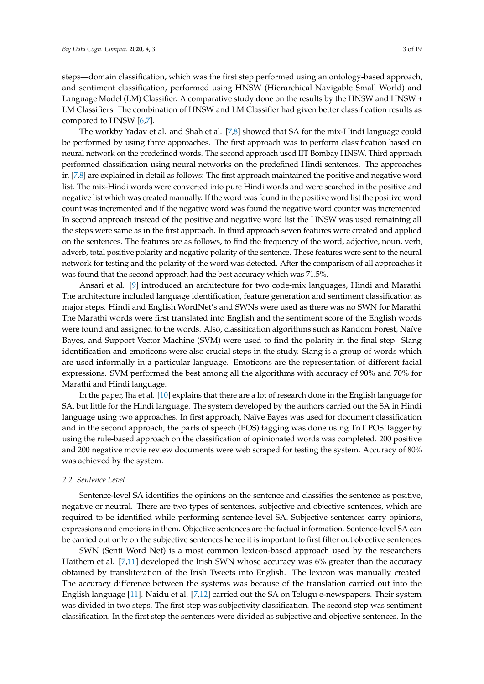steps—domain classification, which was the first step performed using an ontology-based approach, and sentiment classification, performed using HNSW (Hierarchical Navigable Small World) and Language Model (LM) Classifier. A comparative study done on the results by the HNSW and HNSW + LM Classifiers. The combination of HNSW and LM Classifier had given better classification results as compared to HNSW [\[6](#page-19-5)[,7\]](#page-19-6).

The workby Yadav et al. and Shah et al. [\[7,](#page-19-6)[8\]](#page-19-7) showed that SA for the mix-Hindi language could be performed by using three approaches. The first approach was to perform classification based on neural network on the predefined words. The second approach used IIT Bombay HNSW. Third approach performed classification using neural networks on the predefined Hindi sentences. The approaches in [\[7](#page-19-6)[,8\]](#page-19-7) are explained in detail as follows: The first approach maintained the positive and negative word list. The mix-Hindi words were converted into pure Hindi words and were searched in the positive and negative list which was created manually. If the word was found in the positive word list the positive word count was incremented and if the negative word was found the negative word counter was incremented. In second approach instead of the positive and negative word list the HNSW was used remaining all the steps were same as in the first approach. In third approach seven features were created and applied on the sentences. The features are as follows, to find the frequency of the word, adjective, noun, verb, adverb, total positive polarity and negative polarity of the sentence. These features were sent to the neural network for testing and the polarity of the word was detected. After the comparison of all approaches it was found that the second approach had the best accuracy which was 71.5%.

Ansari et al. [\[9\]](#page-19-8) introduced an architecture for two code-mix languages, Hindi and Marathi. The architecture included language identification, feature generation and sentiment classification as major steps. Hindi and English WordNet's and SWNs were used as there was no SWN for Marathi. The Marathi words were first translated into English and the sentiment score of the English words were found and assigned to the words. Also, classification algorithms such as Random Forest, Naïve Bayes, and Support Vector Machine (SVM) were used to find the polarity in the final step. Slang identification and emoticons were also crucial steps in the study. Slang is a group of words which are used informally in a particular language. Emoticons are the representation of different facial expressions. SVM performed the best among all the algorithms with accuracy of 90% and 70% for Marathi and Hindi language.

In the paper, Jha et al. [\[10\]](#page-19-9) explains that there are a lot of research done in the English language for SA, but little for the Hindi language. The system developed by the authors carried out the SA in Hindi language using two approaches. In first approach, Naïve Bayes was used for document classification and in the second approach, the parts of speech (POS) tagging was done using TnT POS Tagger by using the rule-based approach on the classification of opinionated words was completed. 200 positive and 200 negative movie review documents were web scraped for testing the system. Accuracy of 80% was achieved by the system.

#### *2.2. Sentence Level*

Sentence-level SA identifies the opinions on the sentence and classifies the sentence as positive, negative or neutral. There are two types of sentences, subjective and objective sentences, which are required to be identified while performing sentence-level SA. Subjective sentences carry opinions, expressions and emotions in them. Objective sentences are the factual information. Sentence-level SA can be carried out only on the subjective sentences hence it is important to first filter out objective sentences.

SWN (Senti Word Net) is a most common lexicon-based approach used by the researchers. Haithem et al. [\[7](#page-19-6)[,11\]](#page-19-10) developed the Irish SWN whose accuracy was 6% greater than the accuracy obtained by transliteration of the Irish Tweets into English. The lexicon was manually created. The accuracy difference between the systems was because of the translation carried out into the English language [\[11\]](#page-19-10). Naidu et al. [\[7,](#page-19-6)[12\]](#page-19-11) carried out the SA on Telugu e-newspapers. Their system was divided in two steps. The first step was subjectivity classification. The second step was sentiment classification. In the first step the sentences were divided as subjective and objective sentences. In the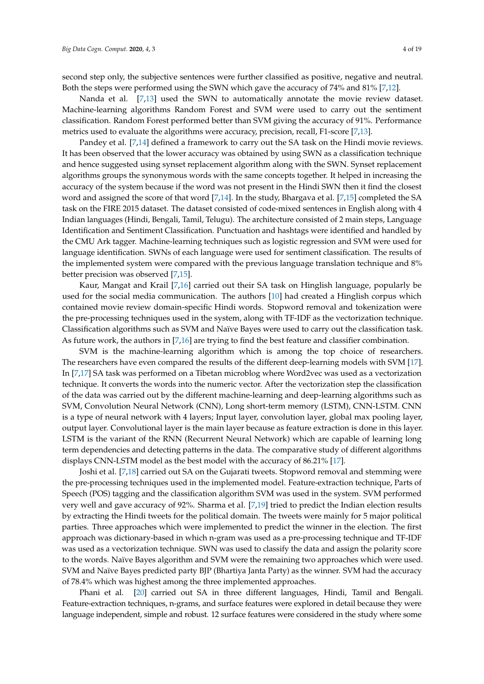second step only, the subjective sentences were further classified as positive, negative and neutral. Both the steps were performed using the SWN which gave the accuracy of 74% and 81% [\[7](#page-19-6)[,12\]](#page-19-11).

Nanda et al. [\[7](#page-19-6)[,13\]](#page-19-12) used the SWN to automatically annotate the movie review dataset. Machine-learning algorithms Random Forest and SVM were used to carry out the sentiment classification. Random Forest performed better than SVM giving the accuracy of 91%. Performance metrics used to evaluate the algorithms were accuracy, precision, recall, F1-score [\[7,](#page-19-6)[13\]](#page-19-12).

Pandey et al. [\[7,](#page-19-6)[14\]](#page-19-13) defined a framework to carry out the SA task on the Hindi movie reviews. It has been observed that the lower accuracy was obtained by using SWN as a classification technique and hence suggested using synset replacement algorithm along with the SWN. Synset replacement algorithms groups the synonymous words with the same concepts together. It helped in increasing the accuracy of the system because if the word was not present in the Hindi SWN then it find the closest word and assigned the score of that word [\[7,](#page-19-6)[14\]](#page-19-13). In the study, Bhargava et al. [\[7](#page-19-6)[,15\]](#page-19-14) completed the SA task on the FIRE 2015 dataset. The dataset consisted of code-mixed sentences in English along with 4 Indian languages (Hindi, Bengali, Tamil, Telugu). The architecture consisted of 2 main steps, Language Identification and Sentiment Classification. Punctuation and hashtags were identified and handled by the CMU Ark tagger. Machine-learning techniques such as logistic regression and SVM were used for language identification. SWNs of each language were used for sentiment classification. The results of the implemented system were compared with the previous language translation technique and 8% better precision was observed [\[7](#page-19-6)[,15\]](#page-19-14).

Kaur, Mangat and Krail [\[7,](#page-19-6)[16\]](#page-19-15) carried out their SA task on Hinglish language, popularly be used for the social media communication. The authors [\[10\]](#page-19-9) had created a Hinglish corpus which contained movie review domain-specific Hindi words. Stopword removal and tokenization were the pre-processing techniques used in the system, along with TF-IDF as the vectorization technique. Classification algorithms such as SVM and Naïve Bayes were used to carry out the classification task. As future work, the authors in [\[7](#page-19-6)[,16\]](#page-19-15) are trying to find the best feature and classifier combination.

SVM is the machine-learning algorithm which is among the top choice of researchers. The researchers have even compared the results of the different deep-learning models with SVM [\[17\]](#page-20-0). In [\[7](#page-19-6)[,17\]](#page-20-0) SA task was performed on a Tibetan microblog where Word2vec was used as a vectorization technique. It converts the words into the numeric vector. After the vectorization step the classification of the data was carried out by the different machine-learning and deep-learning algorithms such as SVM, Convolution Neural Network (CNN), Long short-term memory (LSTM), CNN-LSTM. CNN is a type of neural network with 4 layers; Input layer, convolution layer, global max pooling layer, output layer. Convolutional layer is the main layer because as feature extraction is done in this layer. LSTM is the variant of the RNN (Recurrent Neural Network) which are capable of learning long term dependencies and detecting patterns in the data. The comparative study of different algorithms displays CNN-LSTM model as the best model with the accuracy of 86.21% [\[17\]](#page-20-0).

Joshi et al. [\[7](#page-19-6)[,18\]](#page-20-1) carried out SA on the Gujarati tweets. Stopword removal and stemming were the pre-processing techniques used in the implemented model. Feature-extraction technique, Parts of Speech (POS) tagging and the classification algorithm SVM was used in the system. SVM performed very well and gave accuracy of 92%. Sharma et al. [\[7,](#page-19-6)[19\]](#page-20-2) tried to predict the Indian election results by extracting the Hindi tweets for the political domain. The tweets were mainly for 5 major political parties. Three approaches which were implemented to predict the winner in the election. The first approach was dictionary-based in which n-gram was used as a pre-processing technique and TF-IDF was used as a vectorization technique. SWN was used to classify the data and assign the polarity score to the words. Naïve Bayes algorithm and SVM were the remaining two approaches which were used. SVM and Naïve Bayes predicted party BJP (Bhartiya Janta Party) as the winner. SVM had the accuracy of 78.4% which was highest among the three implemented approaches.

Phani et al. [\[20\]](#page-20-3) carried out SA in three different languages, Hindi, Tamil and Bengali. Feature-extraction techniques, n-grams, and surface features were explored in detail because they were language independent, simple and robust. 12 surface features were considered in the study where some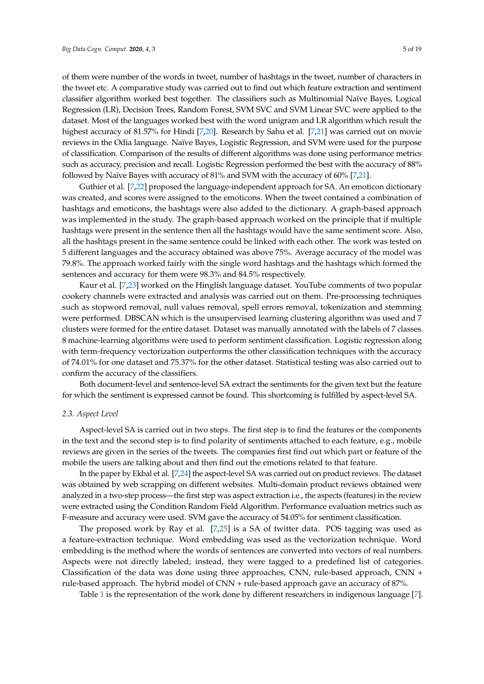of them were number of the words in tweet, number of hashtags in the tweet, number of characters in the tweet etc. A comparative study was carried out to find out which feature extraction and sentiment classifier algorithm worked best together. The classifiers such as Multinomial Naïve Bayes, Logical Regression (LR), Decision Trees, Random Forest, SVM SVC and SVM Linear SVC were applied to the dataset. Most of the languages worked best with the word unigram and LR algorithm which result the highest accuracy of 81.57% for Hindi [\[7,](#page-19-6)[20\]](#page-20-3). Research by Sahu et al. [\[7,](#page-19-6)[21\]](#page-20-4) was carried out on movie reviews in the Odia language. Naïve Bayes, Logistic Regression, and SVM were used for the purpose of classification. Comparison of the results of different algorithms was done using performance metrics such as accuracy, precision and recall. Logistic Regression performed the best with the accuracy of 88% followed by Naïve Bayes with accuracy of 81% and SVM with the accuracy of 60% [\[7](#page-19-6)[,21\]](#page-20-4).

Guthier et al. [\[7,](#page-19-6)[22\]](#page-20-5) proposed the language-independent approach for SA. An emoticon dictionary was created, and scores were assigned to the emoticons. When the tweet contained a combination of hashtags and emoticons, the hashtags were also added to the dictionary. A graph-based approach was implemented in the study. The graph-based approach worked on the principle that if multiple hashtags were present in the sentence then all the hashtags would have the same sentiment score. Also, all the hashtags present in the same sentence could be linked with each other. The work was tested on 5 different languages and the accuracy obtained was above 75%. Average accuracy of the model was 79.8%. The approach worked fairly with the single word hashtags and the hashtags which formed the sentences and accuracy for them were 98.3% and 84.5% respectively.

Kaur et al. [\[7,](#page-19-6)[23\]](#page-20-6) worked on the Hinglish language dataset. YouTube comments of two popular cookery channels were extracted and analysis was carried out on them. Pre-processing techniques such as stopword removal, null values removal, spell errors removal, tokenization and stemming were performed. DBSCAN which is the unsupervised learning clustering algorithm was used and 7 clusters were formed for the entire dataset. Dataset was manually annotated with the labels of 7 classes. 8 machine-learning algorithms were used to perform sentiment classification. Logistic regression along with term-frequency vectorization outperforms the other classification techniques with the accuracy of 74.01% for one dataset and 75.37% for the other dataset. Statistical testing was also carried out to confirm the accuracy of the classifiers.

Both document-level and sentence-level SA extract the sentiments for the given text but the feature for which the sentiment is expressed cannot be found. This shortcoming is fulfilled by aspect-level SA.

#### *2.3. Aspect Level*

Aspect-level SA is carried out in two steps. The first step is to find the features or the components in the text and the second step is to find polarity of sentiments attached to each feature, e.g., mobile reviews are given in the series of the tweets. The companies first find out which part or feature of the mobile the users are talking about and then find out the emotions related to that feature.

In the paper by Ekbal et al. [\[7,](#page-19-6)[24\]](#page-20-7) the aspect-level SA was carried out on product reviews. The dataset was obtained by web scrapping on different websites. Multi-domain product reviews obtained were analyzed in a two-step process—the first step was aspect extraction i.e., the aspects (features) in the review were extracted using the Condition Random Field Algorithm. Performance evaluation metrics such as F-measure and accuracy were used. SVM gave the accuracy of 54.05% for sentiment classification.

The proposed work by Ray et al. [\[7](#page-19-6)[,25\]](#page-20-8) is a SA of twitter data. POS tagging was used as a feature-extraction technique. Word embedding was used as the vectorization technique. Word embedding is the method where the words of sentences are converted into vectors of real numbers. Aspects were not directly labeled; instead, they were tagged to a predefined list of categories. Classification of the data was done using three approaches, CNN, rule-based approach, CNN + rule-based approach. The hybrid model of CNN + rule-based approach gave an accuracy of 87%.

Table [1](#page-7-0) is the representation of the work done by different researchers in indigenous language [\[7\]](#page-19-6).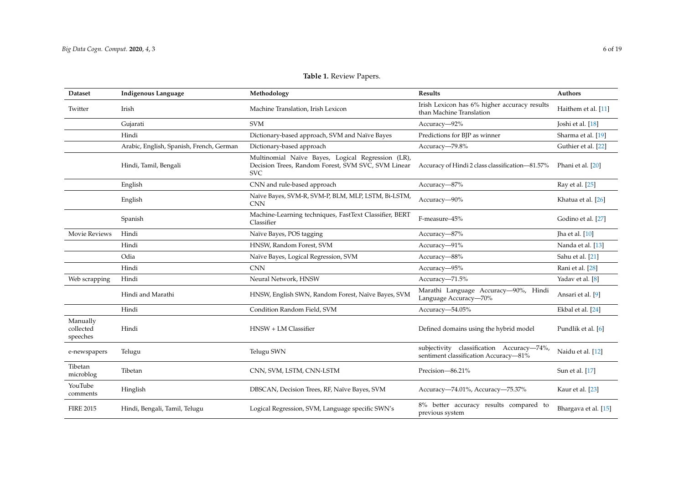# **Table 1.** Review Papers.

<span id="page-7-0"></span>

| <b>Dataset</b>                    | <b>Indigenous Language</b>               | Methodology                                                                                                           | Results                                                                            | Authors              |
|-----------------------------------|------------------------------------------|-----------------------------------------------------------------------------------------------------------------------|------------------------------------------------------------------------------------|----------------------|
| Twitter                           | Irish                                    | Machine Translation, Irish Lexicon                                                                                    | Irish Lexicon has 6% higher accuracy results<br>than Machine Translation           | Haithem et al. [11]  |
|                                   | Gujarati                                 | <b>SVM</b>                                                                                                            | Accuracy-92%                                                                       | Joshi et al. [18]    |
|                                   | Hindi                                    | Dictionary-based approach, SVM and Naïve Bayes                                                                        | Predictions for BJP as winner                                                      | Sharma et al. [19]   |
|                                   | Arabic, English, Spanish, French, German | Dictionary-based approach                                                                                             | Accuracy-79.8%                                                                     | Guthier et al. [22]  |
|                                   | Hindi, Tamil, Bengali                    | Multinomial Naïve Bayes, Logical Regression (LR),<br>Decision Trees, Random Forest, SVM SVC, SVM Linear<br><b>SVC</b> | Accuracy of Hindi 2 class classification-81.57%                                    | Phani et al. [20]    |
|                                   | English                                  | CNN and rule-based approach                                                                                           | Accuracy-87%                                                                       | Ray et al. [25]      |
|                                   | English                                  | Naïve Bayes, SVM-R, SVM-P, BLM, MLP, LSTM, Bi-LSTM,<br><b>CNN</b>                                                     | Accuracy-90%                                                                       | Khatua et al. [26]   |
|                                   | Spanish                                  | Machine-Learning techniques, FastText Classifier, BERT<br>Classifier                                                  | F-measure-45%                                                                      | Godino et al. [27]   |
| <b>Movie Reviews</b>              | Hindi                                    | Naïve Bayes, POS tagging                                                                                              | Accuracy-87%                                                                       | Jha et al. $[10]$    |
|                                   | Hindi                                    | HNSW, Random Forest, SVM                                                                                              | Accuracy-91%                                                                       | Nanda et al. [13]    |
|                                   | Odia                                     | Naïve Bayes, Logical Regression, SVM                                                                                  | Accuracy-88%                                                                       | Sahu et al. [21]     |
|                                   | Hindi                                    | <b>CNN</b>                                                                                                            | Accuracy-95%                                                                       | Rani et al. [28]     |
| Web scrapping                     | Hindi                                    | Neural Network, HNSW                                                                                                  | Accuracy-71.5%                                                                     | Yadav et al. [8]     |
|                                   | Hindi and Marathi                        | HNSW, English SWN, Random Forest, Naïve Bayes, SVM                                                                    | Marathi Language Accuracy-90%, Hindi<br>Language Accuracy-70%                      | Ansari et al. [9]    |
|                                   | Hindi                                    | Condition Random Field, SVM                                                                                           | Accuracy-54.05%                                                                    | Ekbal et al. [24]    |
| Manually<br>collected<br>speeches | Hindi                                    | HNSW + LM Classifier                                                                                                  | Defined domains using the hybrid model                                             | Pundlik et al. [6]   |
| e-newspapers                      | Telugu                                   | Telugu SWN                                                                                                            | subjectivity classification Accuracy-74%,<br>sentiment classification Accuracy-81% | Naidu et al. [12]    |
| Tibetan<br>microblog              | Tibetan                                  | CNN, SVM, LSTM, CNN-LSTM                                                                                              | Precision-86.21%                                                                   | Sun et al. [17]      |
| YouTube<br>comments               | Hinglish                                 | DBSCAN, Decision Trees, RF, Naïve Bayes, SVM                                                                          | Accuracy-74.01%, Accuracy-75.37%                                                   | Kaur et al. [23]     |
| <b>FIRE 2015</b>                  | Hindi, Bengali, Tamil, Telugu            | Logical Regression, SVM, Language specific SWN's                                                                      | 8% better accuracy results compared to<br>previous system                          | Bhargava et al. [15] |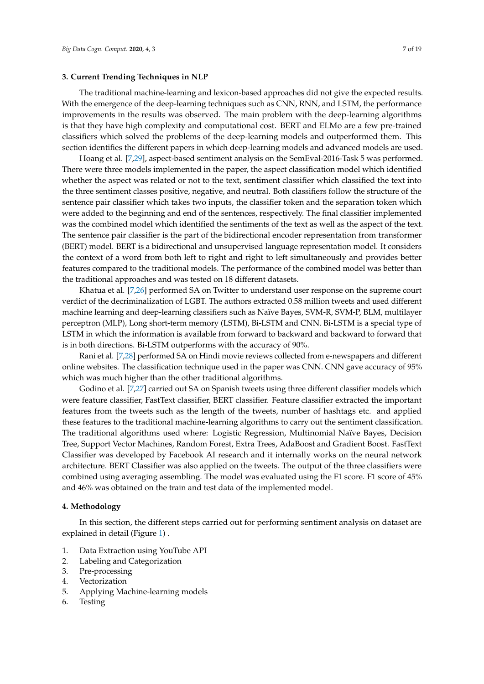#### <span id="page-8-0"></span>**3. Current Trending Techniques in NLP**

The traditional machine-learning and lexicon-based approaches did not give the expected results. With the emergence of the deep-learning techniques such as CNN, RNN, and LSTM, the performance improvements in the results was observed. The main problem with the deep-learning algorithms is that they have high complexity and computational cost. BERT and ELMo are a few pre-trained classifiers which solved the problems of the deep-learning models and outperformed them. This section identifies the different papers in which deep-learning models and advanced models are used.

Hoang et al. [\[7,](#page-19-6)[29\]](#page-20-20), aspect-based sentiment analysis on the SemEval-2016-Task 5 was performed. There were three models implemented in the paper, the aspect classification model which identified whether the aspect was related or not to the text, sentiment classifier which classified the text into the three sentiment classes positive, negative, and neutral. Both classifiers follow the structure of the sentence pair classifier which takes two inputs, the classifier token and the separation token which were added to the beginning and end of the sentences, respectively. The final classifier implemented was the combined model which identified the sentiments of the text as well as the aspect of the text. The sentence pair classifier is the part of the bidirectional encoder representation from transformer (BERT) model. BERT is a bidirectional and unsupervised language representation model. It considers the context of a word from both left to right and right to left simultaneously and provides better features compared to the traditional models. The performance of the combined model was better than the traditional approaches and was tested on 18 different datasets.

Khatua et al. [\[7,](#page-19-6)[26\]](#page-20-21) performed SA on Twitter to understand user response on the supreme court verdict of the decriminalization of LGBT. The authors extracted 0.58 million tweets and used different machine learning and deep-learning classifiers such as Naïve Bayes, SVM-R, SVM-P, BLM, multilayer perceptron (MLP), Long short-term memory (LSTM), Bi-LSTM and CNN. Bi-LSTM is a special type of LSTM in which the information is available from forward to backward and backward to forward that is in both directions. Bi-LSTM outperforms with the accuracy of 90%.

Rani et al. [\[7,](#page-19-6)[28\]](#page-20-22) performed SA on Hindi movie reviews collected from e-newspapers and different online websites. The classification technique used in the paper was CNN. CNN gave accuracy of 95% which was much higher than the other traditional algorithms.

Godino et al. [\[7,](#page-19-6)[27\]](#page-20-23) carried out SA on Spanish tweets using three different classifier models which were feature classifier, FastText classifier, BERT classifier. Feature classifier extracted the important features from the tweets such as the length of the tweets, number of hashtags etc. and applied these features to the traditional machine-learning algorithms to carry out the sentiment classification. The traditional algorithms used where: Logistic Regression, Multinomial Naïve Bayes, Decision Tree, Support Vector Machines, Random Forest, Extra Trees, AdaBoost and Gradient Boost. FastText Classifier was developed by Facebook AI research and it internally works on the neural network architecture. BERT Classifier was also applied on the tweets. The output of the three classifiers were combined using averaging assembling. The model was evaluated using the F1 score. F1 score of 45% and 46% was obtained on the train and test data of the implemented model.

#### <span id="page-8-1"></span>**4. Methodology**

In this section, the different steps carried out for performing sentiment analysis on dataset are explained in detail (Figure [1\)](#page-9-0) .

- 1. Data Extraction using YouTube API
- 2. Labeling and Categorization
- 3. Pre-processing
- 4. Vectorization
- 5. Applying Machine-learning models
- 6. Testing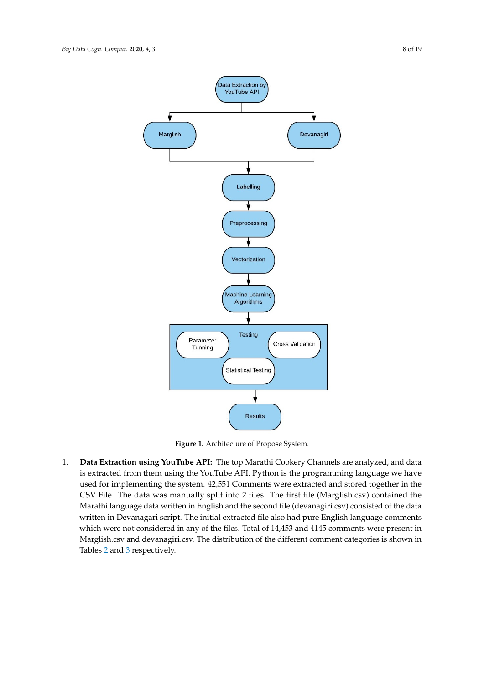<span id="page-9-0"></span>

**Figure 1.** Architecture of Propose System.

1. **Data Extraction using YouTube API:** The top Marathi Cookery Channels are analyzed, and data is extracted from them using the YouTube API. Python is the programming language we have used for implementing the system. 42,551 Comments were extracted and stored together in the CSV File. The data was manually split into 2 files. The first file (Marglish.csv) contained the Marathi language data written in English and the second file (devanagiri.csv) consisted of the data written in Devanagari script. The initial extracted file also had pure English language comments which were not considered in any of the files. Total of 14,453 and 4145 comments were present in Marglish.csv and devanagiri.csv. The distribution of the different comment categories is shown in Tables [2](#page-10-0) and [3](#page-10-1) respectively.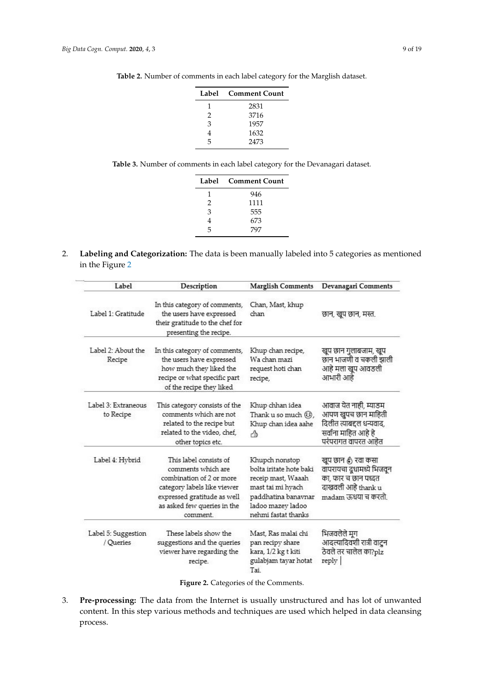| Label         | <b>Comment Count</b> |
|---------------|----------------------|
| 1             | 2831                 |
| $\mathcal{L}$ | 3716                 |
| 3             | 1957                 |
|               | 1632                 |
| 5             | 2473                 |

<span id="page-10-0"></span>**Table 2.** Number of comments in each label category for the Marglish dataset.

<span id="page-10-1"></span>**Table 3.** Number of comments in each label category for the Devanagari dataset.

| Label         | <b>Comment Count</b> |  |
|---------------|----------------------|--|
| 1             | 946                  |  |
| $\mathcal{P}$ | 1111                 |  |
| 3             | 555                  |  |
|               | 673                  |  |
| 5             | 797                  |  |

2. **Labeling and Categorization:** The data is been manually labeled into 5 categories as mentioned in the Figure [2](#page-10-2)

<span id="page-10-2"></span>

| Label                            | Description                                                                                                                                                                       | <b>Marglish Comments</b>                                                                                                                                | Devanagari Comments                                                                                                     |
|----------------------------------|-----------------------------------------------------------------------------------------------------------------------------------------------------------------------------------|---------------------------------------------------------------------------------------------------------------------------------------------------------|-------------------------------------------------------------------------------------------------------------------------|
| Label 1: Gratitude               | In this category of comments,<br>the users have expressed<br>their gratitude to the chef for<br>presenting the recipe.                                                            | Chan, Mast, khup<br>chan                                                                                                                                | छान, खुप छान, मस्त.                                                                                                     |
| Label 2: About the<br>Recipe     | In this category of comments,<br>the users have expressed<br>how much they liked the<br>recipe or what specific part<br>of the recipe they liked                                  | Khup chan recipe,<br>Wa chan mazi<br>request hoti chan<br>recipe,                                                                                       | खुप छान गुलाबजाम, खुप<br>छान भाजणी व चकली झाली<br>आहे मला खुप आवडली<br>आभारी आहे                                        |
| Label 3: Extraneous<br>to Recipe | This category consists of the<br>comments which are not<br>related to the recipe but<br>related to the video, chef,<br>other topics etc.                                          | Khup chhan idea<br>Thank u so much $\circledS$ ,<br>Khup chan idea aahe<br>Æ                                                                            | आवाज येत नाही, म्याडम<br>आपण खुपच छान माहिती<br>दिलीत त्याबद्दल धन्यवाद,<br>सर्वाना माहित आहे हे<br>परंपरागत वापरत आहेत |
| Label 4: Hybrid                  | This label consists of<br>comments which are<br>combination of 2 or more<br>category labels like viewer<br>expressed gratitude as well<br>as asked few queries in the<br>comment. | Khupch nonstop<br>bolta iritate hote baki<br>receip mast, Waaah<br>mast tai mi hyach<br>paddhatina banavnar<br>ladoo mazey ladoo<br>nehmi fastat thanks | खुप छान है) रवा कसा<br>वापरायचा द्रधामध्ये भिजवून<br>का, फार च छान पध्दत<br>दाखवली आहे thank u<br>madam ऊंधया च करतो    |
| Label 5: Suggestion<br>/ Oueries | These labels show the<br>suggestions and the queries<br>viewer have regarding the<br>recipe.                                                                                      | Mast, Ras malai chi<br>pan recipy share<br>kara, 1/2 kg t kiti<br>gulabjam tayar hotat<br>Tai                                                           | भिजवलेले मृग<br>आदल्यादिवशी रात्री वाटुन<br>ठेवले तर चालेल का?plz<br>reply                                              |

**Figure 2.** Categories of the Comments.

3. **Pre-processing:** The data from the Internet is usually unstructured and has lot of unwanted content. In this step various methods and techniques are used which helped in data cleansing process.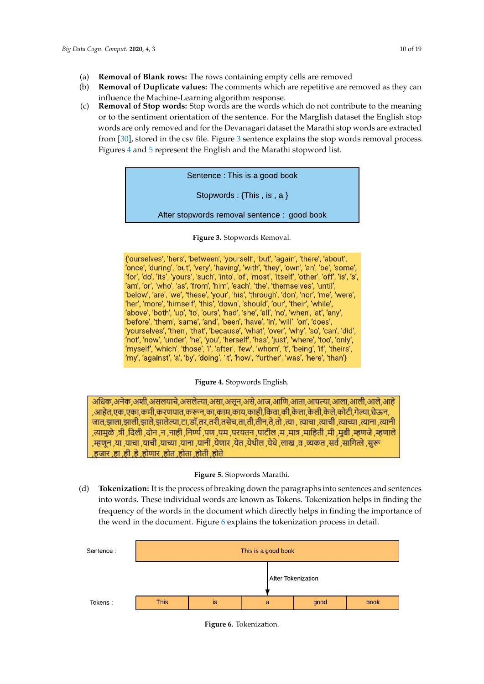- (a) **Removal of Blank rows:** The rows containing empty cells are removed
- (b) **Removal of Duplicate values:** The comments which are repetitive are removed as they can influence the Machine-Learning algorithm response.
- <span id="page-11-0"></span>(c) **Removal of Stop words:** Stop words are the words which do not contribute to the meaning or to the sentiment orientation of the sentence. For the Marglish dataset the English stop words are only removed and for the Devanagari dataset the Marathi stop words are extracted from [\[30\]](#page-20-24), stored in the csv file. Figure [3](#page-11-0) sentence explains the stop words removal process. Figures [4](#page-11-1) and [5](#page-11-2) represent the English and the Marathi stopword list.

| Sentence: This is a good book                |  |
|----------------------------------------------|--|
| Stopwords : {This , is , $a$ }               |  |
| After stopwords removal sentence : good book |  |

**Figure 3.** Stopwords Removal.

<span id="page-11-1"></span>{'ourselves', 'hers', 'between', 'yourself', 'but', 'again', 'there', 'about', 'once', 'during', 'out', 'very', 'having', 'with', 'they', 'own', 'an', 'be', 'some', 'for', 'do', 'its', 'yours', 'such', 'into', 'of', 'most', 'itself', 'other', 'off', 'is', 's', 'am', 'or', 'who', 'as', 'from', 'him', 'each', 'the', 'themselves', 'until', 'below', 'are', 'we', 'these', 'your', 'his', 'through', 'don', 'nor', 'me', 'were', 'her', 'more', 'himself', 'this', 'down', 'should', 'our', 'their', 'while', 'above', 'both', 'up', 'to', 'ours', 'had', 'she', 'all', 'no', 'when', 'at', 'any', 'before', 'them', 'same', 'and', 'been', 'have', 'in', 'will', 'on', 'does', 'yourselves', 'then', 'that', 'because', 'what', 'over', 'why', 'so', 'can', 'did', 'not', 'now', 'under', 'he', 'you', 'herself', 'has', 'just', 'where', 'too', 'only', 'myself', 'which', 'those', 'i', 'after', 'few', 'whom', 't', 'being', 'if', 'theirs', 'my', 'against', 'a', 'by', 'doing', 'it', 'how', 'further', 'was', 'here', 'than'}

**Figure 4.** Stopwords English.

<span id="page-11-2"></span>अधिक अनेक अशी असलयाचे असलेल्या असा असन असे आज आणि आता आपल्या आला आली आले आहे ,आहेत,एक,एका,कमी,करणयात,करून,का,काम,काय,काही,किंवा,की,केला,केली,केले,कोटी,गेल्या,घेऊन, जात,झाला,झाली,झाले,झालेल्या,टा,डॉ,तर,तरी,तसेच,ता,ती,तीन,ते,तो ,त्या , त्याचा ,त्याची ,त्याच्या ,त्याना ,त्यानी त्यामुळे ,त्री ,दिली ,दोन ,न ,नाही ,निर्ण्य ,पण ,पम ,परयतन ,पाटील ,म ,मात्र ,माहिती ,मी ,मुबी ,म्हणजे ,म्हणाले .म्हणून .या .याचा .याची .याच्या .याना .यानी .येणार .येत .येथील .येथे .लाख .व .व्यकत .सर्व .सागित्ले .सुरू .हजार .हा .ही .हे .होणार .होत .होता .होती .होते

**Figure 5.** Stopwords Marathi.

(d) **Tokenization:** It is the process of breaking down the paragraphs into sentences and sentences into words. These individual words are known as Tokens. Tokenization helps in finding the frequency of the words in the document which directly helps in finding the importance of the word in the document. Figure [6](#page-11-3) explains the tokenization process in detail.

<span id="page-11-3"></span>

**Figure 6.** Tokenization.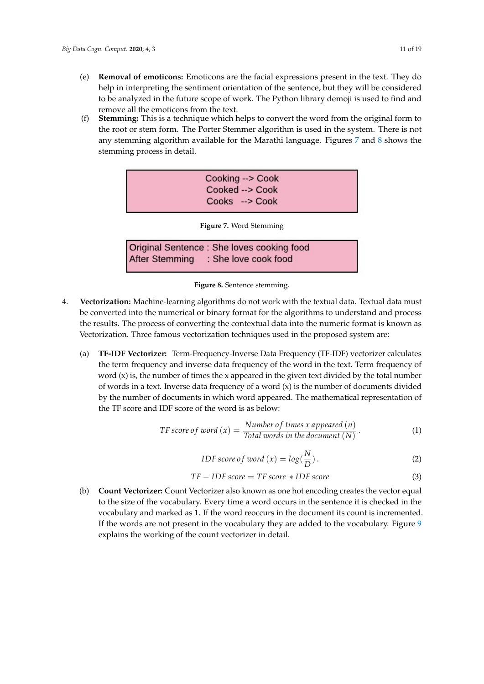- (e) **Removal of emoticons:** Emoticons are the facial expressions present in the text. They do help in interpreting the sentiment orientation of the sentence, but they will be considered to be analyzed in the future scope of work. The Python library demoji is used to find and remove all the emoticons from the text.
- <span id="page-12-0"></span>(f) **Stemming:** This is a technique which helps to convert the word from the original form to the root or stem form. The Porter Stemmer algorithm is used in the system. There is not any stemming algorithm available for the Marathi language. Figures [7](#page-12-0) and [8](#page-12-1) shows the stemming process in detail.

| Cooking --> Cook |
|------------------|
| Cooked --> Cook  |
| Cooks --> Cook   |
|                  |

**Figure 7.** Word Stemming

Original Sentence : She loves cooking food : She love cook food **After Stemming** 

**Figure 8.** Sentence stemming.

- <span id="page-12-1"></span>4. **Vectorization:** Machine-learning algorithms do not work with the textual data. Textual data must be converted into the numerical or binary format for the algorithms to understand and process the results. The process of converting the contextual data into the numeric format is known as Vectorization. Three famous vectorization techniques used in the proposed system are:
	- (a) **TF-IDF Vectorizer:** Term-Frequency-Inverse Data Frequency (TF-IDF) vectorizer calculates the term frequency and inverse data frequency of the word in the text. Term frequency of word  $(x)$  is, the number of times the x appeared in the given text divided by the total number of words in a text. Inverse data frequency of a word  $(x)$  is the number of documents divided by the number of documents in which word appeared. The mathematical representation of the TF score and IDF score of the word is as below:

$$
TF score of word (x) = \frac{Number of times x appeared (n)}{Total words in the document (N)}.
$$
 (1)

*IDF score of word* 
$$
(x) = log(\frac{N}{D})
$$
. (2)

$$
TF - IDF score = TF score * IDF score \tag{3}
$$

(b) **Count Vectorizer:** Count Vectorizer also known as one hot encoding creates the vector equal to the size of the vocabulary. Every time a word occurs in the sentence it is checked in the vocabulary and marked as 1. If the word reoccurs in the document its count is incremented. If the words are not present in the vocabulary they are added to the vocabulary. Figure [9](#page-13-0) explains the working of the count vectorizer in detail.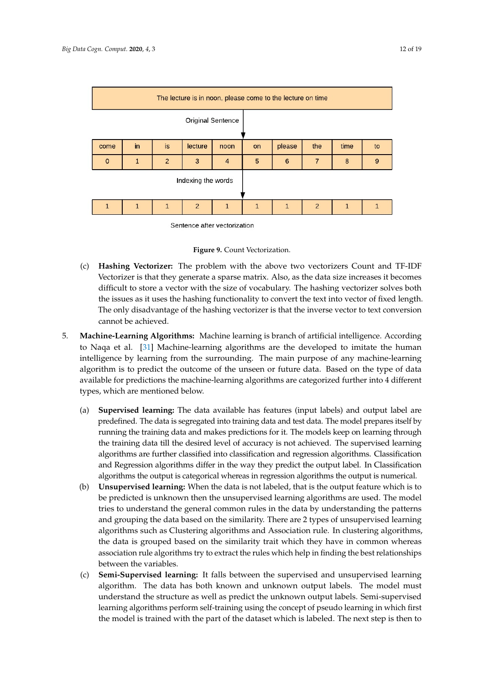<span id="page-13-0"></span>

| The lecture is in noon, please come to the lecture on time |    |                |                |                |              |        |                |      |    |
|------------------------------------------------------------|----|----------------|----------------|----------------|--------------|--------|----------------|------|----|
| <b>Original Sentence</b>                                   |    |                |                |                |              |        |                |      |    |
| come                                                       | in | is             | lecture        | noon           | on           | please | the            | time | to |
| $\Omega$                                                   |    | $\overline{2}$ | 3              | $\overline{4}$ | 5            | 6      | 7              | 8    | 9  |
| Indexing the words                                         |    |                |                |                |              |        |                |      |    |
|                                                            |    | 1              | $\overline{2}$ |                | $\mathbf{1}$ |        | $\overline{2}$ |      |    |

Sentence after vectorization

**Figure 9.** Count Vectorization.

- (c) **Hashing Vectorizer:** The problem with the above two vectorizers Count and TF-IDF Vectorizer is that they generate a sparse matrix. Also, as the data size increases it becomes difficult to store a vector with the size of vocabulary. The hashing vectorizer solves both the issues as it uses the hashing functionality to convert the text into vector of fixed length. The only disadvantage of the hashing vectorizer is that the inverse vector to text conversion cannot be achieved.
- 5. **Machine-Learning Algorithms:** Machine learning is branch of artificial intelligence. According to Naqa et al. [\[31\]](#page-20-25) Machine-learning algorithms are the developed to imitate the human intelligence by learning from the surrounding. The main purpose of any machine-learning algorithm is to predict the outcome of the unseen or future data. Based on the type of data available for predictions the machine-learning algorithms are categorized further into 4 different types, which are mentioned below.
	- (a) **Supervised learning:** The data available has features (input labels) and output label are predefined. The data is segregated into training data and test data. The model prepares itself by running the training data and makes predictions for it. The models keep on learning through the training data till the desired level of accuracy is not achieved. The supervised learning algorithms are further classified into classification and regression algorithms. Classification and Regression algorithms differ in the way they predict the output label. In Classification algorithms the output is categorical whereas in regression algorithms the output is numerical.
	- (b) **Unsupervised learning:** When the data is not labeled, that is the output feature which is to be predicted is unknown then the unsupervised learning algorithms are used. The model tries to understand the general common rules in the data by understanding the patterns and grouping the data based on the similarity. There are 2 types of unsupervised learning algorithms such as Clustering algorithms and Association rule. In clustering algorithms, the data is grouped based on the similarity trait which they have in common whereas association rule algorithms try to extract the rules which help in finding the best relationships between the variables.
	- (c) **Semi-Supervised learning:** It falls between the supervised and unsupervised learning algorithm. The data has both known and unknown output labels. The model must understand the structure as well as predict the unknown output labels. Semi-supervised learning algorithms perform self-training using the concept of pseudo learning in which first the model is trained with the part of the dataset which is labeled. The next step is then to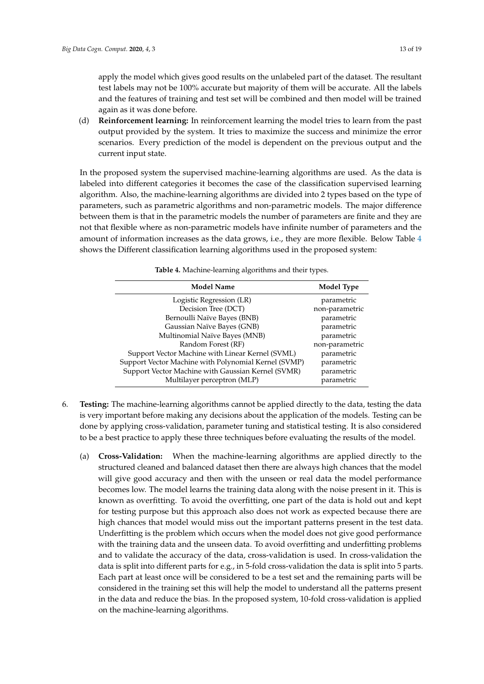apply the model which gives good results on the unlabeled part of the dataset. The resultant test labels may not be 100% accurate but majority of them will be accurate. All the labels and the features of training and test set will be combined and then model will be trained again as it was done before.

(d) **Reinforcement learning:** In reinforcement learning the model tries to learn from the past output provided by the system. It tries to maximize the success and minimize the error scenarios. Every prediction of the model is dependent on the previous output and the current input state.

In the proposed system the supervised machine-learning algorithms are used. As the data is labeled into different categories it becomes the case of the classification supervised learning algorithm. Also, the machine-learning algorithms are divided into 2 types based on the type of parameters, such as parametric algorithms and non-parametric models. The major difference between them is that in the parametric models the number of parameters are finite and they are not that flexible where as non-parametric models have infinite number of parameters and the amount of information increases as the data grows, i.e., they are more flexible. Below Table [4](#page-14-0) shows the Different classification learning algorithms used in the proposed system:

<span id="page-14-0"></span>

| <b>Model Name</b>                                    | Model Type     |
|------------------------------------------------------|----------------|
| Logistic Regression (LR)                             | parametric     |
| Decision Tree (DCT)                                  | non-parametric |
| Bernoulli Naïve Bayes (BNB)                          | parametric     |
| Gaussian Naïve Bayes (GNB)                           | parametric     |
| Multinomial Naïve Bayes (MNB)                        | parametric     |
| Random Forest (RF)                                   | non-parametric |
| Support Vector Machine with Linear Kernel (SVML)     | parametric     |
| Support Vector Machine with Polynomial Kernel (SVMP) | parametric     |
| Support Vector Machine with Gaussian Kernel (SVMR)   | parametric     |
| Multilayer perceptron (MLP)                          | parametric     |

**Table 4.** Machine-learning algorithms and their types.

- 6. **Testing:** The machine-learning algorithms cannot be applied directly to the data, testing the data is very important before making any decisions about the application of the models. Testing can be done by applying cross-validation, parameter tuning and statistical testing. It is also considered to be a best practice to apply these three techniques before evaluating the results of the model.
	- (a) **Cross-Validation:** When the machine-learning algorithms are applied directly to the structured cleaned and balanced dataset then there are always high chances that the model will give good accuracy and then with the unseen or real data the model performance becomes low. The model learns the training data along with the noise present in it. This is known as overfitting. To avoid the overfitting, one part of the data is hold out and kept for testing purpose but this approach also does not work as expected because there are high chances that model would miss out the important patterns present in the test data. Underfitting is the problem which occurs when the model does not give good performance with the training data and the unseen data. To avoid overfitting and underfitting problems and to validate the accuracy of the data, cross-validation is used. In cross-validation the data is split into different parts for e.g., in 5-fold cross-validation the data is split into 5 parts. Each part at least once will be considered to be a test set and the remaining parts will be considered in the training set this will help the model to understand all the patterns present in the data and reduce the bias. In the proposed system, 10-fold cross-validation is applied on the machine-learning algorithms.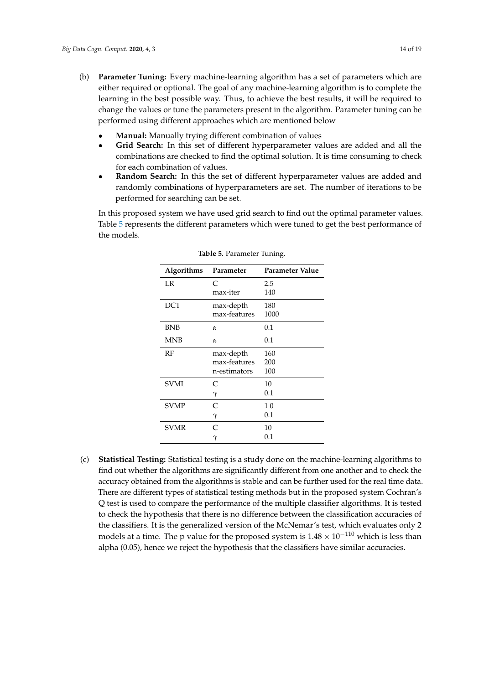- (b) **Parameter Tuning:** Every machine-learning algorithm has a set of parameters which are either required or optional. The goal of any machine-learning algorithm is to complete the learning in the best possible way. Thus, to achieve the best results, it will be required to change the values or tune the parameters present in the algorithm. Parameter tuning can be performed using different approaches which are mentioned below
	- **Manual:** Manually trying different combination of values
	- **Grid Search:** In this set of different hyperparameter values are added and all the combinations are checked to find the optimal solution. It is time consuming to check for each combination of values.
	- **Random Search:** In this the set of different hyperparameter values are added and randomly combinations of hyperparameters are set. The number of iterations to be performed for searching can be set.

<span id="page-15-0"></span>In this proposed system we have used grid search to find out the optimal parameter values. Table [5](#page-15-0) represents the different parameters which were tuned to get the best performance of the models.

| Algorithms  | Parameter    | Parameter Value |
|-------------|--------------|-----------------|
| LR          | C            | 2.5             |
|             | max-iter     | 140             |
| <b>DCT</b>  | max-depth    | 180             |
|             | max-features | 1000            |
| <b>BNB</b>  | $\alpha$     | 0.1             |
| <b>MNB</b>  | $\alpha$     | 0.1             |
| RF          | max-depth    | 160             |
|             | max-features | 200             |
|             | n-estimators | 100             |
| <b>SVML</b> | C            | 10              |
|             | $\gamma$     | 0.1             |
| <b>SVMP</b> | C            | 1 <sub>0</sub>  |
|             | $\gamma$     | 0.1             |
| <b>SVMR</b> | C            | 10              |
|             | $_{\gamma}$  | $0.1\,$         |

**Table 5.** Parameter Tuning.

(c) **Statistical Testing:** Statistical testing is a study done on the machine-learning algorithms to find out whether the algorithms are significantly different from one another and to check the accuracy obtained from the algorithms is stable and can be further used for the real time data. There are different types of statistical testing methods but in the proposed system Cochran's Q test is used to compare the performance of the multiple classifier algorithms. It is tested to check the hypothesis that there is no difference between the classification accuracies of the classifiers. It is the generalized version of the McNemar's test, which evaluates only 2 models at a time. The p value for the proposed system is  $1.48 \times 10^{-110}$  which is less than alpha (0.05), hence we reject the hypothesis that the classifiers have similar accuracies.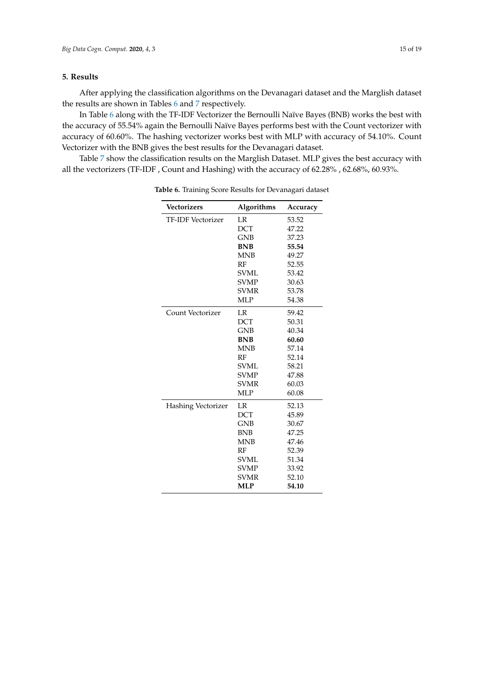### <span id="page-16-0"></span>**5. Results**

After applying the classification algorithms on the Devanagari dataset and the Marglish dataset the results are shown in Tables [6](#page-16-1) and [7](#page-17-0) respectively.

In Table [6](#page-16-1) along with the TF-IDF Vectorizer the Bernoulli Naïve Bayes (BNB) works the best with the accuracy of 55.54% again the Bernoulli Naïve Bayes performs best with the Count vectorizer with accuracy of 60.60%. The hashing vectorizer works best with MLP with accuracy of 54.10%. Count Vectorizer with the BNB gives the best results for the Devanagari dataset.

<span id="page-16-1"></span>Table [7](#page-17-0) show the classification results on the Marglish Dataset. MLP gives the best accuracy with all the vectorizers (TF-IDF , Count and Hashing) with the accuracy of 62.28% , 62.68%, 60.93%.

| <b>Vectorizers</b>        | Algorithms  | Accuracy |
|---------------------------|-------------|----------|
| <b>TF-IDF Vectorizer</b>  | LR          | 53.52    |
|                           | <b>DCT</b>  | 47.22    |
|                           | <b>GNB</b>  | 37.23    |
|                           | <b>BNB</b>  | 55.54    |
|                           | <b>MNB</b>  | 49.27    |
|                           | RF          | 52.55    |
|                           | <b>SVML</b> | 53.42    |
|                           | <b>SVMP</b> | 30.63    |
|                           | <b>SVMR</b> | 53.78    |
|                           | MLP         | 54.38    |
| Count Vectorizer          | LR          | 59.42    |
|                           | <b>DCT</b>  | 50.31    |
|                           | <b>GNB</b>  | 40.34    |
|                           | <b>BNB</b>  | 60.60    |
|                           | <b>MNB</b>  | 57.14    |
|                           | RF          | 52.14    |
|                           | <b>SVML</b> | 58.21    |
|                           | <b>SVMP</b> | 47.88    |
|                           | <b>SVMR</b> | 60.03    |
|                           | MLP         | 60.08    |
| <b>Hashing Vectorizer</b> | LR          | 52.13    |
|                           | <b>DCT</b>  | 45.89    |
|                           | <b>GNB</b>  | 30.67    |
|                           | <b>BNB</b>  | 47.25    |
|                           | <b>MNB</b>  | 47.46    |
|                           | RF          | 52.39    |
|                           | <b>SVML</b> | 51.34    |
|                           | <b>SVMP</b> | 33.92    |
|                           | <b>SVMR</b> | 52.10    |
|                           | <b>MLP</b>  | 54.10    |

**Table 6.** Training Score Results for Devanagari dataset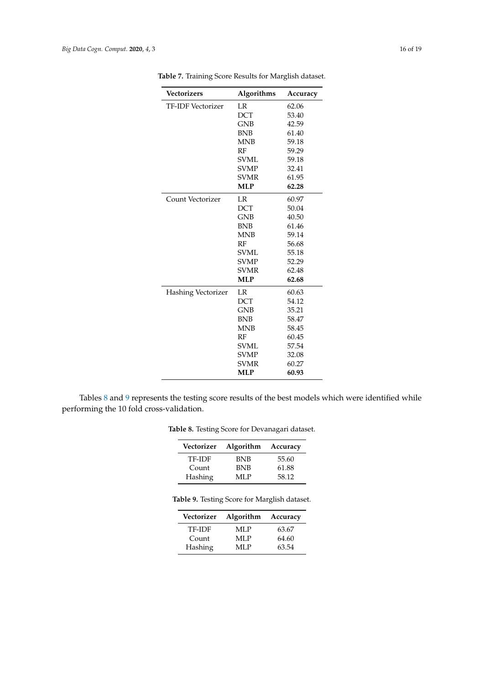| <b>Vectorizers</b>       | Algorithms  | Accuracy |
|--------------------------|-------------|----------|
| <b>TF-IDF Vectorizer</b> | LR          | 62.06    |
|                          | <b>DCT</b>  | 53.40    |
|                          | <b>GNB</b>  | 42.59    |
|                          | <b>BNB</b>  | 61.40    |
|                          | <b>MNB</b>  | 59.18    |
|                          | RF          | 59.29    |
|                          | <b>SVML</b> | 59.18    |
|                          | <b>SVMP</b> | 32.41    |
|                          | <b>SVMR</b> | 61.95    |
|                          | <b>MLP</b>  | 62.28    |
| Count Vectorizer         | LR          | 60.97    |
|                          | <b>DCT</b>  | 50.04    |
|                          | <b>GNB</b>  | 40.50    |
|                          | <b>BNB</b>  | 61.46    |
|                          | <b>MNB</b>  | 59.14    |
|                          | RF          | 56.68    |
|                          | <b>SVML</b> | 55.18    |
|                          | <b>SVMP</b> | 52.29    |
|                          | <b>SVMR</b> | 62.48    |
|                          | <b>MLP</b>  | 62.68    |
| Hashing Vectorizer       | LR          | 60.63    |
|                          | <b>DCT</b>  | 54.12    |
|                          | <b>GNB</b>  | 35.21    |
|                          | <b>BNB</b>  | 58.47    |
|                          | <b>MNB</b>  | 58.45    |
|                          | RF          | 60.45    |
|                          | <b>SVML</b> | 57.54    |
|                          | <b>SVMP</b> | 32.08    |
|                          | <b>SVMR</b> | 60.27    |
|                          | <b>MLP</b>  | 60.93    |

<span id="page-17-0"></span>**Table 7.** Training Score Results for Marglish dataset.

<span id="page-17-2"></span><span id="page-17-1"></span>Tables [8](#page-17-1) and [9](#page-17-2) represents the testing score results of the best models which were identified while performing the 10 fold cross-validation.

| Vectorizer | Algorithm Accuracy |       |
|------------|--------------------|-------|
| TF-IDF     | <b>BNB</b>         | 55.60 |
| Count      | <b>BNB</b>         | 61.88 |
| Hashing    | MLP                | 58.12 |

**Table 8.** Testing Score for Devanagari dataset.

| Table 9. Testing Score for Marglish dataset. |  |
|----------------------------------------------|--|
|                                              |  |

| Vectorizer | Algorithm Accuracy |       |
|------------|--------------------|-------|
| TF-IDF     | MLP                | 63.67 |
| Count      | MLP                | 64.60 |
| Hashing    | MLP                | 63.54 |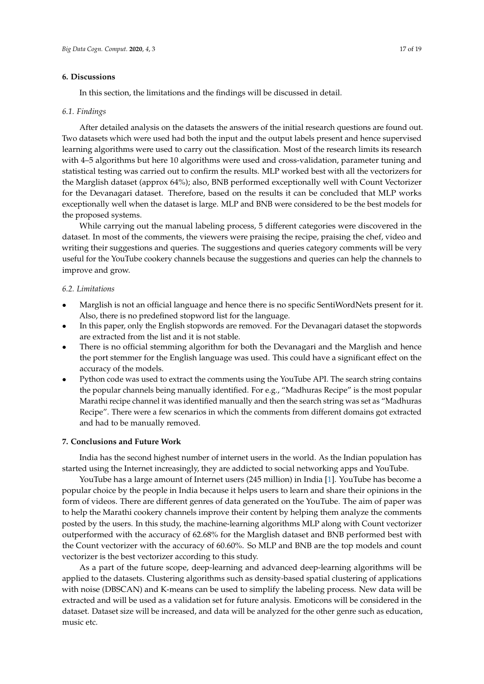#### <span id="page-18-0"></span>**6. Discussions**

In this section, the limitations and the findings will be discussed in detail.

#### *6.1. Findings*

After detailed analysis on the datasets the answers of the initial research questions are found out. Two datasets which were used had both the input and the output labels present and hence supervised learning algorithms were used to carry out the classification. Most of the research limits its research with 4–5 algorithms but here 10 algorithms were used and cross-validation, parameter tuning and statistical testing was carried out to confirm the results. MLP worked best with all the vectorizers for the Marglish dataset (approx 64%); also, BNB performed exceptionally well with Count Vectorizer for the Devanagari dataset. Therefore, based on the results it can be concluded that MLP works exceptionally well when the dataset is large. MLP and BNB were considered to be the best models for the proposed systems.

While carrying out the manual labeling process, 5 different categories were discovered in the dataset. In most of the comments, the viewers were praising the recipe, praising the chef, video and writing their suggestions and queries. The suggestions and queries category comments will be very useful for the YouTube cookery channels because the suggestions and queries can help the channels to improve and grow.

#### *6.2. Limitations*

- Marglish is not an official language and hence there is no specific SentiWordNets present for it. Also, there is no predefined stopword list for the language.
- In this paper, only the English stopwords are removed. For the Devanagari dataset the stopwords are extracted from the list and it is not stable.
- There is no official stemming algorithm for both the Devanagari and the Marglish and hence the port stemmer for the English language was used. This could have a significant effect on the accuracy of the models.
- Python code was used to extract the comments using the YouTube API. The search string contains the popular channels being manually identified. For e.g., "Madhuras Recipe" is the most popular Marathi recipe channel it was identified manually and then the search string was set as "Madhuras Recipe". There were a few scenarios in which the comments from different domains got extracted and had to be manually removed.

#### **7. Conclusions and Future Work**

India has the second highest number of internet users in the world. As the Indian population has started using the Internet increasingly, they are addicted to social networking apps and YouTube.

YouTube has a large amount of Internet users (245 million) in India [\[1\]](#page-19-0). YouTube has become a popular choice by the people in India because it helps users to learn and share their opinions in the form of videos. There are different genres of data generated on the YouTube. The aim of paper was to help the Marathi cookery channels improve their content by helping them analyze the comments posted by the users. In this study, the machine-learning algorithms MLP along with Count vectorizer outperformed with the accuracy of 62.68% for the Marglish dataset and BNB performed best with the Count vectorizer with the accuracy of 60.60%. So MLP and BNB are the top models and count vectorizer is the best vectorizer according to this study.

As a part of the future scope, deep-learning and advanced deep-learning algorithms will be applied to the datasets. Clustering algorithms such as density-based spatial clustering of applications with noise (DBSCAN) and K-means can be used to simplify the labeling process. New data will be extracted and will be used as a validation set for future analysis. Emoticons will be considered in the dataset. Dataset size will be increased, and data will be analyzed for the other genre such as education, music etc.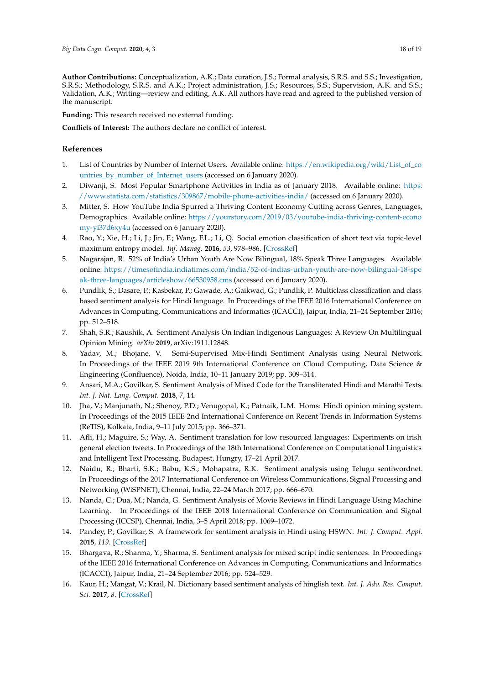<span id="page-19-19"></span>**Author Contributions:** Conceptualization, A.K.; Data curation, J.S.; Formal analysis, S.R.S. and S.S.; Investigation, S.R.S.; Methodology, S.R.S. and A.K.; Project administration, J.S.; Resources, S.S.; Supervision, A.K. and S.S.; Validation, A.K.; Writing—review and editing, A.K. All authors have read and agreed to the published version of the manuscript.

**Funding:** This research received no external funding.

**Conflicts of Interest:** The authors declare no conflict of interest.

## <span id="page-19-17"></span>**References**

- <span id="page-19-0"></span>1. List of Countries by Number of Internet Users. Available online: [https://en.wikipedia.org/wiki/List\\_of\\_co](https://en.wikipedia.org/wiki/List_of_countries_by_number_of_Internet_users) [untries\\_by\\_number\\_of\\_Internet\\_users](https://en.wikipedia.org/wiki/List_of_countries_by_number_of_Internet_users) (accessed on 6 January 2020).
- <span id="page-19-18"></span><span id="page-19-1"></span>2. Diwanji, S. Most Popular Smartphone Activities in India as of January 2018. Available online: [https:](https://www.statista.com/statistics/309867/mobile-phone-activities-india/) [//www.statista.com/statistics/309867/mobile-phone-activities-india/](https://www.statista.com/statistics/309867/mobile-phone-activities-india/) (accessed on 6 January 2020).
- <span id="page-19-2"></span>3. Mitter, S. How YouTube India Spurred a Thriving Content Economy Cutting across Genres, Languages, Demographics. Available online: [https://yourstory.com/2019/03/youtube-india-thriving-content-econo](https://yourstory.com/2019/03/youtube-india-thriving-content-economy-yi37d6xy4u) [my-yi37d6xy4u](https://yourstory.com/2019/03/youtube-india-thriving-content-economy-yi37d6xy4u) (accessed on 6 January 2020).
- <span id="page-19-3"></span>4. Rao, Y.; Xie, H.; Li, J.; Jin, F.; Wang, F.L.; Li, Q. Social emotion classification of short text via topic-level maximum entropy model. *Inf. Manag.* **2016**, *53*, 978–986. [\[CrossRef\]](http://dx.doi.org/10.1016/j.im.2016.04.005)
- <span id="page-19-20"></span><span id="page-19-4"></span>5. Nagarajan, R. 52% of India's Urban Youth Are Now Bilingual, 18% Speak Three Languages. Available online: [https://timesofindia.indiatimes.com/india/52-of-indias-urban-youth-are-now-bilingual-18-spe](https://timesofindia.indiatimes.com/india/52-of-indias-urban-youth-are-now-bilingual-18-speak-three-languages/articleshow/66530958.cms) [ak-three-languages/articleshow/66530958.cms](https://timesofindia.indiatimes.com/india/52-of-indias-urban-youth-are-now-bilingual-18-speak-three-languages/articleshow/66530958.cms) (accessed on 6 January 2020).
- <span id="page-19-16"></span><span id="page-19-5"></span>6. Pundlik, S.; Dasare, P.; Kasbekar, P.; Gawade, A.; Gaikwad, G.; Pundlik, P. Multiclass classification and class based sentiment analysis for Hindi language. In Proceedings of the IEEE 2016 International Conference on Advances in Computing, Communications and Informatics (ICACCI), Jaipur, India, 21–24 September 2016; pp. 512–518.
- <span id="page-19-6"></span>7. Shah, S.R.; Kaushik, A. Sentiment Analysis On Indian Indigenous Languages: A Review On Multilingual Opinion Mining. *arXiv* **2019**, arXiv:1911.12848.
- <span id="page-19-7"></span>8. Yadav, M.; Bhojane, V. Semi-Supervised Mix-Hindi Sentiment Analysis using Neural Network. In Proceedings of the IEEE 2019 9th International Conference on Cloud Computing, Data Science & Engineering (Confluence), Noida, India, 10–11 January 2019; pp. 309–314.
- <span id="page-19-8"></span>9. Ansari, M.A.; Govilkar, S. Sentiment Analysis of Mixed Code for the Transliterated Hindi and Marathi Texts. *Int. J. Nat. Lang. Comput.* **2018**, *7*, 14.
- <span id="page-19-9"></span>10. Jha, V.; Manjunath, N.; Shenoy, P.D.; Venugopal, K.; Patnaik, L.M. Homs: Hindi opinion mining system. In Proceedings of the 2015 IEEE 2nd International Conference on Recent Trends in Information Systems (ReTIS), Kolkata, India, 9–11 July 2015; pp. 366–371.
- <span id="page-19-10"></span>11. Afli, H.; Maguire, S.; Way, A. Sentiment translation for low resourced languages: Experiments on irish general election tweets. In Proceedings of the 18th International Conference on Computational Linguistics and Intelligent Text Processing, Budapest, Hungry, 17–21 April 2017.
- <span id="page-19-11"></span>12. Naidu, R.; Bharti, S.K.; Babu, K.S.; Mohapatra, R.K. Sentiment analysis using Telugu sentiwordnet. In Proceedings of the 2017 International Conference on Wireless Communications, Signal Processing and Networking (WiSPNET), Chennai, India, 22–24 March 2017; pp. 666–670.
- <span id="page-19-12"></span>13. Nanda, C.; Dua, M.; Nanda, G. Sentiment Analysis of Movie Reviews in Hindi Language Using Machine Learning. In Proceedings of the IEEE 2018 International Conference on Communication and Signal Processing (ICCSP), Chennai, India, 3–5 April 2018; pp. 1069–1072.
- <span id="page-19-13"></span>14. Pandey, P.; Govilkar, S. A framework for sentiment analysis in Hindi using HSWN. *Int. J. Comput. Appl.* **2015**, *119*. [\[CrossRef\]](http://dx.doi.org/10.5120/21176-4185)
- <span id="page-19-14"></span>15. Bhargava, R.; Sharma, Y.; Sharma, S. Sentiment analysis for mixed script indic sentences. In Proceedings of the IEEE 2016 International Conference on Advances in Computing, Communications and Informatics (ICACCI), Jaipur, India, 21–24 September 2016; pp. 524–529.
- <span id="page-19-15"></span>16. Kaur, H.; Mangat, V.; Krail, N. Dictionary based sentiment analysis of hinglish text. *Int. J. Adv. Res. Comput. Sci.* **2017**, *8*. [\[CrossRef\]](http://dx.doi.org/10.26483/ijarcs.v8i5.3438)